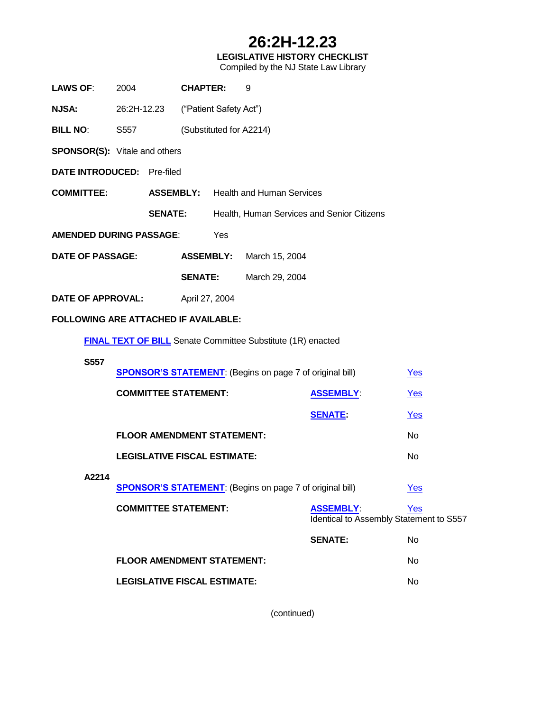# **26:2H-12.23**

## **LEGISLATIVE HISTORY CHECKLIST**

Compiled by the NJ State Law Library

| <b>LAWS OF:</b>                                                    | 2004                                                                                                     |     | <b>CHAPTER:</b>                            |  | 9              |                                            |     |
|--------------------------------------------------------------------|----------------------------------------------------------------------------------------------------------|-----|--------------------------------------------|--|----------------|--------------------------------------------|-----|
| <b>NJSA:</b>                                                       | 26:2H-12.23                                                                                              |     | ("Patient Safety Act")                     |  |                |                                            |     |
| <b>BILL NO:</b>                                                    | S557                                                                                                     |     | (Substituted for A2214)                    |  |                |                                            |     |
|                                                                    | <b>SPONSOR(S):</b> Vitale and others                                                                     |     |                                            |  |                |                                            |     |
| DATE INTRODUCED: Pre-filed                                         |                                                                                                          |     |                                            |  |                |                                            |     |
| <b>COMMITTEE:</b>                                                  |                                                                                                          |     | <b>ASSEMBLY:</b> Health and Human Services |  |                |                                            |     |
|                                                                    | <b>SENATE:</b>                                                                                           |     |                                            |  |                | Health, Human Services and Senior Citizens |     |
| <b>AMENDED DURING PASSAGE:</b>                                     |                                                                                                          | Yes |                                            |  |                |                                            |     |
| <b>DATE OF PASSAGE:</b>                                            |                                                                                                          |     | <b>ASSEMBLY:</b><br>March 15, 2004         |  |                |                                            |     |
|                                                                    |                                                                                                          |     | <b>SENATE:</b>                             |  | March 29, 2004 |                                            |     |
| <b>DATE OF APPROVAL:</b>                                           |                                                                                                          |     | April 27, 2004                             |  |                |                                            |     |
| FOLLOWING ARE ATTACHED IF AVAILABLE:                               |                                                                                                          |     |                                            |  |                |                                            |     |
| <b>FINAL TEXT OF BILL</b> Senate Committee Substitute (1R) enacted |                                                                                                          |     |                                            |  |                |                                            |     |
| <b>S557</b>                                                        |                                                                                                          |     |                                            |  |                |                                            |     |
|                                                                    | <b>SPONSOR'S STATEMENT:</b> (Begins on page 7 of original bill)                                          |     |                                            |  |                |                                            | Yes |
|                                                                    |                                                                                                          |     | <b>COMMITTEE STATEMENT:</b>                |  |                | <b>ASSEMBLY:</b>                           | Yes |
|                                                                    |                                                                                                          |     |                                            |  |                | <b>SENATE:</b>                             | Yes |
|                                                                    | <b>FLOOR AMENDMENT STATEMENT:</b>                                                                        |     |                                            |  |                |                                            | No  |
|                                                                    | <b>LEGISLATIVE FISCAL ESTIMATE:</b>                                                                      |     |                                            |  |                |                                            | No  |
| A2214                                                              |                                                                                                          |     |                                            |  |                |                                            | Yes |
|                                                                    | <b>SPONSOR'S STATEMENT:</b> (Begins on page 7 of original bill)                                          |     |                                            |  |                |                                            |     |
|                                                                    | <b>COMMITTEE STATEMENT:</b><br><b>ASSEMBLY:</b><br><b>Yes</b><br>Identical to Assembly Statement to S557 |     |                                            |  |                |                                            |     |
|                                                                    |                                                                                                          |     |                                            |  |                | <b>SENATE:</b>                             | No  |
|                                                                    | <b>FLOOR AMENDMENT STATEMENT:</b>                                                                        |     |                                            |  |                |                                            | No  |
|                                                                    | <b>LEGISLATIVE FISCAL ESTIMATE:</b>                                                                      |     |                                            |  |                |                                            | No  |
|                                                                    |                                                                                                          |     |                                            |  |                |                                            |     |

(continued)